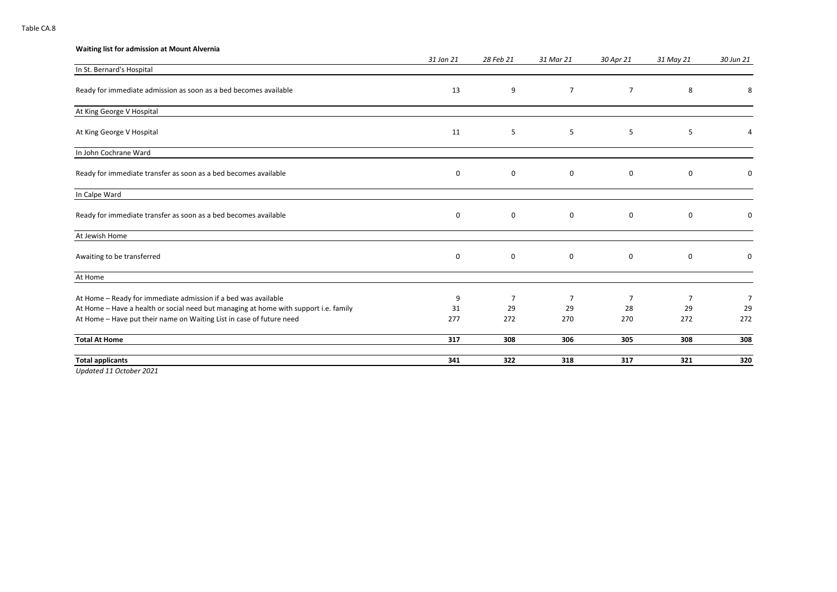| Waiting list for admission at Mount Alvernia                                         |           |                |                |                |                |           |
|--------------------------------------------------------------------------------------|-----------|----------------|----------------|----------------|----------------|-----------|
|                                                                                      | 31 Jan 21 | 28 Feb 21      | 31 Mar 21      | 30 Apr 21      | 31 May 21      | 30 Jun 21 |
| In St. Bernard's Hospital                                                            |           |                |                |                |                |           |
| Ready for immediate admission as soon as a bed becomes available                     | 13        | 9              | $\overline{7}$ | $\overline{7}$ | 8              | 8         |
| At King George V Hospital                                                            |           |                |                |                |                |           |
| At King George V Hospital                                                            | 11        | 5              | 5              | 5              | 5              | 4         |
| In John Cochrane Ward                                                                |           |                |                |                |                |           |
| Ready for immediate transfer as soon as a bed becomes available                      | 0         | 0              | 0              | 0              | 0              | 0         |
| In Calpe Ward                                                                        |           |                |                |                |                |           |
| Ready for immediate transfer as soon as a bed becomes available                      | 0         | 0              | 0              | 0              | 0              | 0         |
| At Jewish Home                                                                       |           |                |                |                |                |           |
| Awaiting to be transferred                                                           | 0         | 0              | $\mathbf 0$    | 0              | 0              | 0         |
| At Home                                                                              |           |                |                |                |                |           |
| At Home - Ready for immediate admission if a bed was available                       | 9         | $\overline{7}$ | 7              | 7              | $\overline{7}$ | 7         |
| At Home - Have a health or social need but managing at home with support i.e. family | 31        | 29             | 29             | 28             | 29             | 29        |
| At Home - Have put their name on Waiting List in case of future need                 | 277       | 272            | 270            | 270            | 272            | 272       |
| <b>Total At Home</b>                                                                 | 317       | 308            | 306            | 305            | 308            | 308       |
| <b>Total applicants</b>                                                              | 341       | 322            | 318            | 317            | 321            | 320       |

*Updated 11 October 2021*